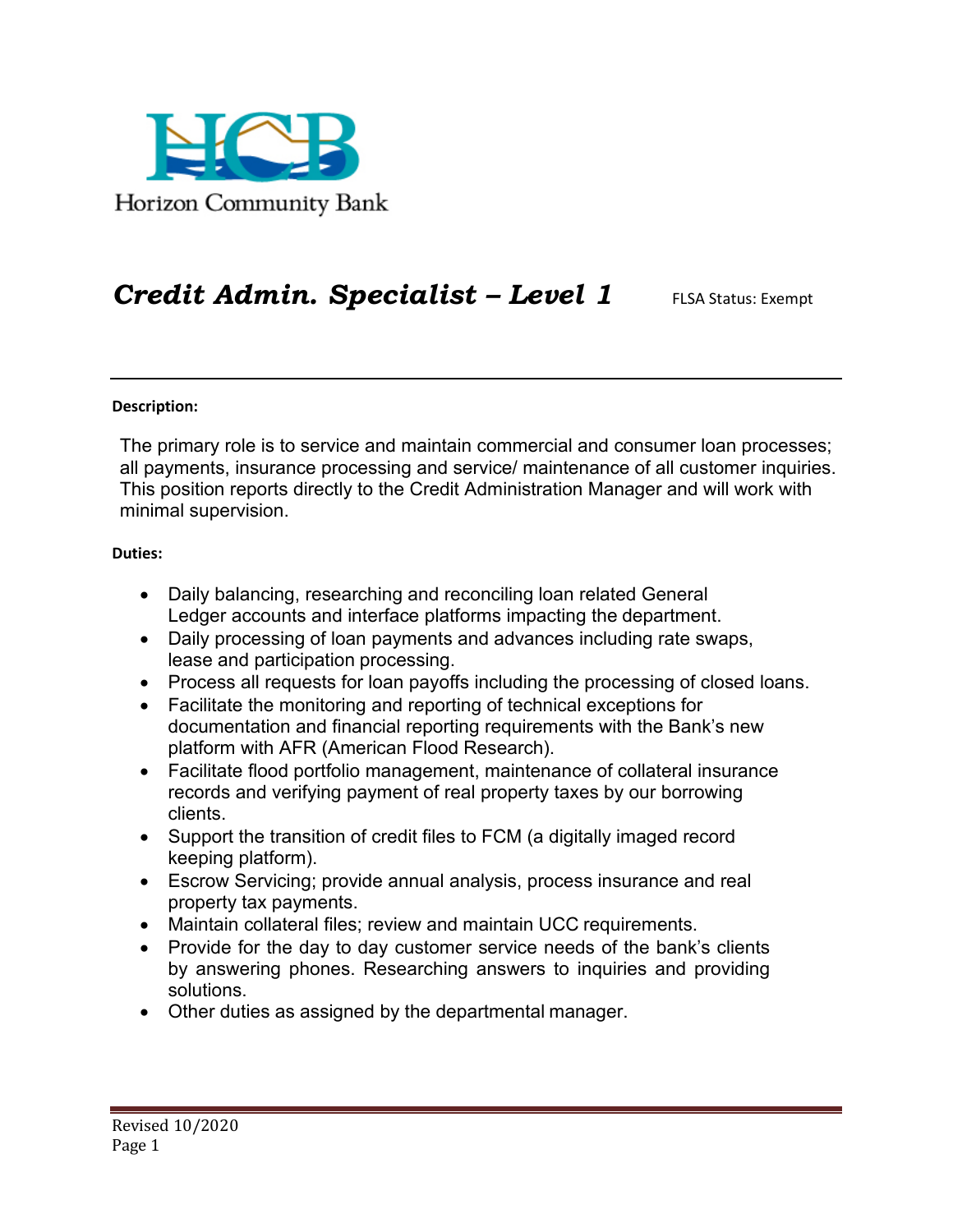

## *Credit Admin. Specialist – Level 1* FLSA Status: Exempt

## **Description:**

The primary role is to service and maintain commercial and consumer loan processes; all payments, insurance processing and service/ maintenance of all customer inquiries. This position reports directly to the Credit Administration Manager and will work with minimal supervision.

## **Duties:**

- Daily balancing, researching and reconciling loan related General Ledger accounts and interface platforms impacting the department.
- Daily processing of loan payments and advances including rate swaps, lease and participation processing.
- Process all requests for loan payoffs including the processing of closed loans.
- Facilitate the monitoring and reporting of technical exceptions for documentation and financial reporting requirements with the Bank's new platform with AFR (American Flood Research).
- Facilitate flood portfolio management, maintenance of collateral insurance records and verifying payment of real property taxes by our borrowing clients.
- Support the transition of credit files to FCM (a digitally imaged record keeping platform).
- Escrow Servicing; provide annual analysis, process insurance and real property tax payments.
- Maintain collateral files; review and maintain UCC requirements.
- Provide for the day to day customer service needs of the bank's clients by answering phones. Researching answers to inquiries and providing solutions.
- Other duties as assigned by the departmental manager.